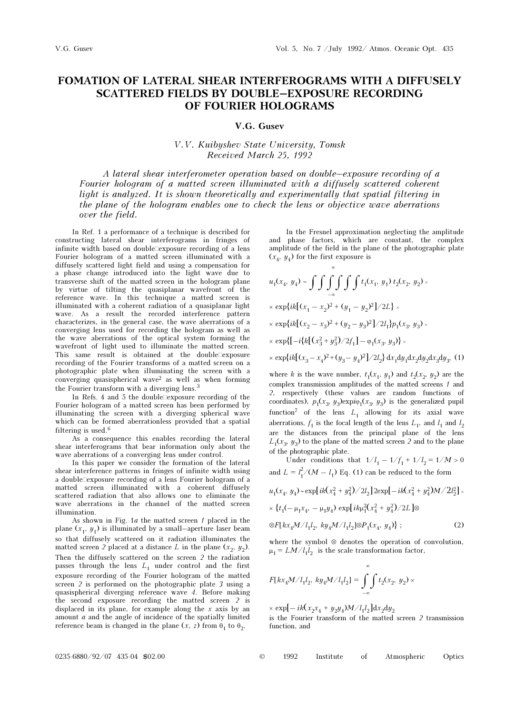## FOMATION OF LATERAL SHEAR INTERFEROGRAMS WITH A DIFFUSELY SCATTERED FIELDS BY DOUBLE–EXPOSURE RECORDING OF FOURIER HOLOGRAMS

## V.G. Gusev

## V.V. Kuibyshev State University, Tomsk Received March 25, 1992

A lateral shear interferometer operation based on double–exposure recording of a Fourier hologram of a matted screen illuminated with a diffusely scattered coherent light is analyzed. It is shown theoretically and experimentally that spatial filtering in the plane of the hologram enables one to check the lens or objective wave aberrations over the field.

In Ref. 1 a performance of a technique is described for constructing lateral shear interferograms in fringes of infinite width based on double $\square$ exposure recording of a lens Fourier hologram of a matted screen illuminated with a diffusely scattered light field and using a compensation for a phase change introduced into the light wave due to transverse shift of the matted screen in the hologram plane by virtue of tilting the quasiplanar wavefront of the reference wave. In this technique a matted screen is illuminated with a coherent radiation of a quasiplanar light wave. As a result the recorded interference pattern characterizes, in the general case, the wave aberrations of a converging lens used for recording the hologram as well as the wave aberrations of the optical system forming the wavefront of light used to illuminate the matted screen. This same result is obtained at the double $\Box$ exposure recording of the Fourier transforms of a matted screen on a photographic plate when illuminating the screen with a converging quasispherical wave2 as well as when forming the Fourier transform with a diverging lens.<sup>3</sup>

In Refs. 4 and 5 the double $\Box$ exposure recording of the Fourier hologram of a matted screen has been performed by illuminating the screen with a diverging spherical wave which can be formed aberrationless provided that a spatial filtering is used.<sup>6</sup>

As a consequence this enables recording the lateral shear interferograms that bear information only about the wave aberrations of a converging lens under control.

In this paper we consider the formation of the lateral shear interference patterns in fringes of infinite width using a double $\exists$ exposure recording of a lens Fourier hologram of a matted screen illuminated with a coherent diffusely scattered radiation that also allows one to eliminate the wave aberrations in the channel of the matted screen illumination.

As shown in Fig.  $1a$  the matted screen  $1$  placed in the plane  $(x_1, y_1)$  is illuminated by a small–aperture laser beam so that diffusely scattered on it radiation illuminates the matted screen 2 placed at a distance L in the plane  $(x_2, y_2)$ . Then the diffusely scattered on the screen 2 the radiation passes through the lens  $L_1$  under control and the first exposure recording of the Fourier hologram of the matted screen 2 is performed on the photographic plate 3 using a quasispherical diverging reference wave 4. Before making the second exposure recording the matted screen 2 is displaced in its plane, for example along the  $x$  axis by an amount  $a$  and the angle of incidence of the spatially limited reference beam is changed in the plane  $(x, z)$  from  $\theta_1$  to  $\theta_2$ .

In the Fresnel approximation neglecting the amplitude and phase factors, which are constant, the complex amplitude of the field in the plane of the photographic plate  $(x_4, y_4)$  for the first exposure is

$$
u_1(x_4, y_4) \sim \int \int \int \int \int \int f_1(x_1, y_1) t_2(x_2, y_2) \times
$$
  
\n
$$
\times \exp\{ik[(x_1 - x_2)^2 + (y_1 - y_2)^2]/2L\} \times
$$
  
\n
$$
\times \exp\{ik[(x_2 - x_3)^2 + (y_2 - y_3)^2]/2L_1\}p_1(x_3, y_3) \times
$$
  
\n
$$
\times \exp\{[-i[k[(x_3^2 + y_3^2)/2f_1] - \varphi_1(x_3, y_3)\} \times
$$
  
\n
$$
\times \exp\{ik[(x_3 - x_4)^2 + (y_3 - y_4)^2]/2L_2\} dx_1 dy_1 dx_2 dy_2 dx_3 dy_3,
$$
 (1)

where k is the wave number,  $t_1(x_1, y_1)$  and  $t_2(x_2, y_2)$  are the complex transmission amplitudes of the matted screens 1 and 2, respectively (these values are random functions of coordinates),  $p_1(x_3, y_3)$ expi $\varphi_1(x_3, y_3)$  is the generalized pupil function<sup>7</sup> of the lens  $L_1$  allowing for its axial wave aberrations,  $f_1$  is the focal length of the lens  $L_1$ , and  $l_1$  and  $l_2$ are the distances from the principal plane of the lens  $L_1(x_3, y_3)$  to the plane of the matted screen 2 and to the plane of the photographic plate.

Under conditions that  $1/l_1 - 1/f_1 + 1/l_2 = 1/M > 0$ and  $L = l_1^2/(M - l_1)$  Eq. (1) can be reduced to the form

$$
u_1(x_4, y_4) \sim \exp[i k (x_4^2 + y_4^2)/2l_2] 2 \exp[-ik (x_4^2 + y_4^2) M/2l_2^2] \times
$$
  
 
$$
\times \{t_1(-\mu_1 x_4, -\mu_1 y_4) \exp[i k \mu_1^2 (x_4^2 + y_4^2)/2L] \otimes
$$
  
 
$$
\otimes F[k x_4 M/l_1 l_2, k y_4 M/l_1 l_2] \otimes P_1(x_4, y_4) \};
$$
 (2)

where the symbol ⊗ denotes the operation of convolution,  $\mu_1 = LM/l_1 l_2$  is the scale transformation factor,

$$
F[kx_4M/l_1l_2, ky_4M/l_1l_2] = \int_{-\infty}^{\infty} \int t_2(x_2, y_2) \times
$$

 $\times$  exp[-ik(x<sub>2</sub>x<sub>4</sub> + y<sub>2</sub>y<sub>4</sub>)M/l<sub>1</sub>l<sub>2</sub>]dx<sub>2</sub>dy<sub>2</sub>

is the Fourier transform of the matted screen 2 transmission function, and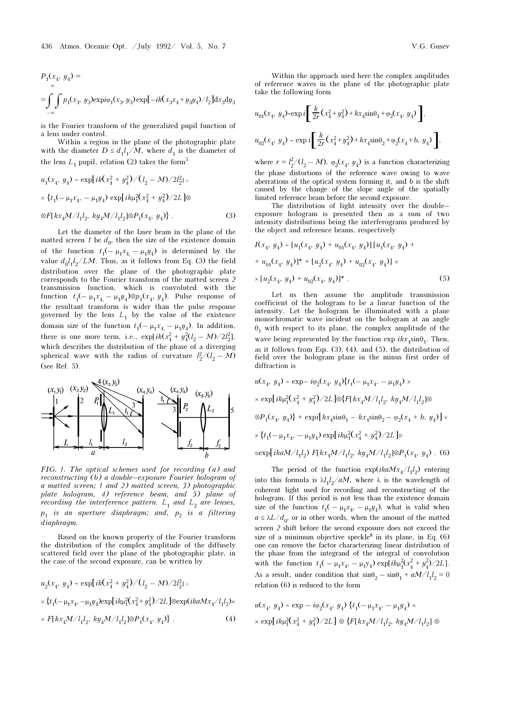$$
P_1(x_4, y_4) =
$$
  
= 
$$
\int_{-\infty}^{\infty} \int p_1(x_3, y_3) \exp\{-ik(x_3x_4 + y_3y_4)/l_2\} dx_3 dy_3
$$

is the Fourier transform of the generalized pupil function of a lens under control.

Within a region in the plane of the photographic plate with the diameter  $D \leq d_1 l_1/M$ , where  $d_1$  is the diameter of the lens  $L_1$  pupil, relation (2) takes the form<sup>5</sup>

$$
u_1(x_4, y_4) \sim \exp[ik(x_4^2 + y_4^2)/(l_2 - M)/2l_2^2] \times
$$
  
 
$$
\times \{t_1(-\mu_1 x_4, -\mu_1 y_4) \exp[i k \mu_1^2 (x_4^2 + y_4^2)/2L] \otimes
$$
  
 
$$
\otimes F[kx_4M/l_1l_2, ky_4M/l_1l_2] \otimes P_1(x_4, y_4)\}.
$$
 (3)

Let the diameter of the laser beam in the plane of the matted screen 1 be  $d_0$ , then the size of the existence domain of the function  $t_1(-\mu_1x_4-\mu_1y_4)$  is determined by the value  $d_0 l_1 l_2 / LM$ . Thus, as it follows from Eq. (3) the field distribution over the plane of the photographic plate corresponds to the Fourier transform of the matted screen 2 transmission function, which is convoluted with the function  $t_1(-\mu_1x_4-\mu_1y_4)\otimes p_1(x_4, y_4)$ . Pulse response of the resultant transform is wider than the pulse response governed by the lens  $L_1$  by the value of the existence domain size of the function  $t_1(-\mu_1x_4-\mu_1y_4)$ . In addition, there is one more term, i.e.,  $\exp[ik(x_4^2 + y_4^2(l_2 - M)/2l_2^2]$ , which describes the distribution of the phase of a diverging spherical wave with the radius of curvature  $l_2^2/(l_2 - M)$ (see Ref. 5).



FIG. 1. The optical schemes used for recording (a) and reconstructing (b) a double–exposure Fourier hologram of a matted screen; 1 and 2) matted screen, 3) photographic plate hologram, 4) reference beam, and 5) plane of recording the interference pattern.  $L_1$  and  $L_2$  are lenses,  $p_1$  is an aperture diaphragm; and,  $p_2$  is a filtering diaphragm.

Based on the known property of the Fourier transform the distribution of the complex amplitude of the diffusely scattered field over the plane of the photographic plate, in the case of the second exposure, can be written by

$$
u_2(x_4, y_4) \sim \exp[ik(x_4^2 + y_4^2)/(l_2 - M)/2l_2^2] \times
$$
  
 
$$
\times \{t_1(-\mu_1 x_4, -\mu_1 y_4) \exp[i k \mu_1^2(x_4^2 + y_4^2)/2L] \otimes \exp(ik a M x_4/l_1 l_2) \times
$$
  
 
$$
\times F[k x_4 M/l_1 l_2, k y_4 M/l_1 l_2] \otimes P_1(x_4, y_4)\}.
$$
 (4)

Within the approach used here the complex amplitudes of reference waves in the plane of the photographic plate take the following form

$$
u_{01}(x_4, y_4) - \exp i \left[ \frac{k}{2r} (x_4^2 + y_4^2) + k x_4 \sin \theta_1 + \varphi_2(x_4, y_4) \right],
$$
  

$$
u_{02}(x_4, y_4) \sim \exp i \left[ \frac{k}{2r} (x_4^2 + y_4^2) + k x_4 \sin \theta_2 + \varphi_2(x_4 + b, y_4) \right],
$$

where  $r = l_2^2/(l_2 - M)$ ,  $\varphi_2(x_4, y_4)$  is a function characterizing the phase distortions of the reference wave owing to wave aberrations of the optical system forming it, and  $b$  is the shift caused by the change of the slope angle of the spatially limited reference beam before the second exposure.

The distribution of light intensity over the double– exposure hologram is presented then as a sum of two intensity distributions being the interferograms produced by the object and reference beams, respectively

$$
I(x_4, y_4) \sim [u_1(x_4, y_4) + u_{01}(x_4, y_4)] [u_1(x_4, y_4) ++ u_{01}(x_4, y_4)]^* + [u_2(x_4, y_4) + u_{02}(x_4, y_4)] \times\times [u_2(x_4, y_4) + u_{02}(x_4, y_4)]^*.
$$
 (5)

Let us then assume the amplitude transmission coefficient of the hologram to be a linear function of the intensity. Let the hologram be illuminated with a plane monochromatic wave incident on the hologram at an angle  $\theta_1$  with respect to its plane, the complex amplitude of the wave being represented by the function  $\exp ikx_s \sin\theta_1$ . Then, as it follows from Eqs. (3), (4), and (5), the distribution of field over the hologram plane in the minus first order of diffraction is

$$
u(x_4, y_4) \sim \exp{-i\varphi_2(x_4, y_4)} \{t_1(-\mu_1 x_4, -\mu_1 y_4) \times
$$
  
\n
$$
\times \exp[i k \mu_1^2 (x_4^2 + y_4^2)/2L] \otimes \{F[k x_4 M / l_1 l_2, k y_4 M / l_1 l_2] \otimes
$$
  
\n
$$
\otimes P_1(x_4, y_4)\} + \exp[i k x_4 \sin \theta_1 - k x_4 \sin \theta_2 - \varphi_2(x_4 + b, y_4)] \times
$$
  
\n
$$
\times \{t_1(-\mu_1 x_4, -\mu_1 y_4) \exp[i k \mu_1^2 (x_4^2 + y_4^2)/2L] \otimes
$$
  
\n
$$
\exp[i k a M / l_1 l_2) F[k x_4 M / l_1 l_2, k y_4 M / l_1 l_2] \otimes P_1(x_4, y_4) .
$$
 (6)

The period of the function  $\exp(ikaMx_4/l_1l_2)$  entering into this formula is  $\lambda l_1 l_2 / aM$ , where  $\lambda$  is the wavelength of coherent light used for recording and reconstructing of the hologram. If this period is not less than the existence domain size of the function  $t_1(-\mu_1 x_4, -\mu_1 y_4)$ , what is valid when  $a \leq \lambda L/d_0$ , or in other words, when the amount of the matted screen 2 shift before the second exposure does not exceed the size of a minimum objective speckle<sup>8</sup> in its plane, in Eq.  $(6)$ one can remove the factor characterizing linear distribution of the phase from the integrand of the integral of convolution with the function  $t_1(-\mu_1 x_4, -\mu_1 y_4) \exp[i k \mu_1^2 (x_4^2 + y_4^2)/2L]$ . As a result, under condition that  $\sin\!\theta_2-\sin\!\theta_1+aM/l_1l_2=0$ relation (6) is reduced to the form

$$
u(x_4, y_4) \sim \exp - i\varphi_2(x_4, y_4) \{t_1(-\mu_1 x_4, -\mu_1 y_4) \times
$$
  
 
$$
\times \exp[i k \mu_1^2 (x_4^2 + y_4^2)/2L] \otimes \{F[k x_4 M / l_1 l_2, k y_4 M / l_1 l_2] \otimes
$$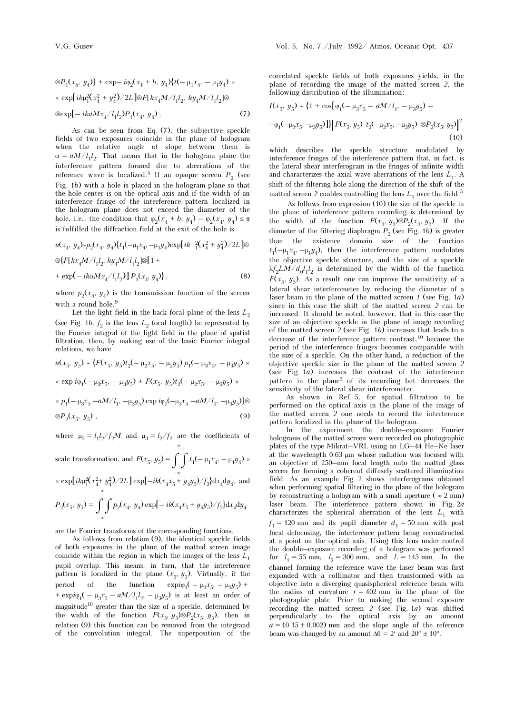$$
\otimes P_1(x_4, y_4) \} + \exp{-i\varphi_2(x_4 + b, y_4)} \{t(-\mu_1 x_4, -\mu_1 y_4) \times
$$
  
× 
$$
\exp[i k \mu_1^2 (x_4^2 + y_4^2) / 2L] \otimes F[k x_4 M / l_1 l_2, k y_4 M / l_1 l_2] \otimes
$$
  

$$
\otimes \exp[-ik a M x_4 / l_1 l_2) P_1(x_4, y_4).
$$
 (7)

As can be seen from Eq. (7), the subjective speckle fields of two exposures coincide in the plane of hologram when the relative angle of slope between them is  $\alpha = aM/l_1l_2$ . That means that in the hologram plane the interference pattern formed due to aberrations of the reference wave is localized.<sup>5</sup> If an opaque screen  $P_2$  (see Fig. 1b) with a hole is placed in the hologram plane so that the hole center is on the optical axis and if the width of an interference fringe of the interference pattern localized in the hologram plane does not exceed the diameter of the hole, i.e., the condition that  $\varphi_2(x_4 + b, y_4) - \varphi_2(x_4, y_4) \leq \pi$ is fulfilled the diffraction field at the exit of the hole is

$$
u(x_4, y_4) \sim p_2(x_4, y_4) \{t_1(-\mu_1 x_4, -\mu_1 y_4) \exp[i k \frac{2}{3}(x_4^2 + y_4^2)/2L] \otimes
$$
  
 
$$
\otimes \{F[kx_4 M/l_1 l_2, ky_4 M/l_1 l_2] \otimes [1 +
$$
  
+ 
$$
\exp(-ik \alpha M x_4/l_1 l_2) [P_1(x_4, y_4) \},
$$
 (8)

where  $p_2(x_4, y_4)$  is the transmission function of the screen with a round hole.<sup>9</sup>

Let the light field in the back focal plane of the lens  ${\cal L}_2$ (see Fig. 1*b*;  $f_2$  is the lens  $L_2$  focal length) be represented by the Fourier integral of the light field in the plane of spatial filtration, then, by making use of the basic Fourier integral relations, we have

$$
u(x_5, y_5) \sim \{F(x_5, y_5)t_2(-\mu_2 x_5, -\mu_2 y_5) p_1(-\mu_3 x_5, -\mu_3 y_5) \times
$$
  
× exp  $i\varphi_1(-\mu_3 x_5, -\mu_3 y_5) + F(x_5, y_5)t_2(-\mu_2 x_5, -\mu_2 y_5) \times$   
×  $p_1(-\mu_3 x_5 - aM/l_1, -\mu_3 y_5) \exp i\varphi_1(-\mu_3 x_5 - aM/l_1, -\mu_3 y_5)\}\otimes$ 

$$
\otimes P_2(x_5, y_5) \tag{9}
$$

where  $\mu_2 = l_1 l_2 / f_2 M$  and  $\mu_3 = l_2 / f_2$  are the coefficients of

scale transformation, and  $F(x_5, y_5) = \int \int t_1(-\mu_1 x_4, -\mu_1 y_4) \times$ –∞

 $\times \exp[i k \mu_1^2 (x_4^2 + y_4^2)/2L] \exp[-ik(x_4x_5 + y_4y_5)/f_2] dx_4 dy_4$ , and

$$
P_2(x_5,\ y_5)=\int\limits_{-\infty}\int p_2(x_4,\ y_4)\exp[-\,i k(x_4x_5+y_4y_5)/f_2\}\mathrm{d}x_4\mathrm{d}y_4
$$

are the Fourier transforms of the corresponding functions.

As follows from relation (9), the identical speckle fields of both exposures in the plane of the matted screen image coincide within the region in which the images of the lens  $L_1$ pupil overlap. This means, in turn, that the interference pattern is localized in the plane  $(x_5, y_5)$ . Virtually, if the period of the function  $\exp i\varphi_1(-\mu_3x_5, -\mu_3y_5)$  + +  $\exp i\varphi_1$ ( –  $\mu_3 x_5 - aM/l_1l_2$ , –  $\mu_3 y_5$ ) is at least an order of magnitude10 greater than the size of a speckle, determined by the width of the function  $F(x_5, y_5) \otimes P_2(x_5, y_5)$ , then in relation (9) this function can be removed from the integrand of the convolution integral. The superposition of the

correlated speckle fields of both exposures yields, in the plane of recording the image of the matted screen 2, the following distribution of the illumination:

$$
I(x_5, y_5) \sim \{1 + \cos[\varphi_1(-\mu_3 x_5 - aM/l_1, -\mu_3 y_5) - \varphi_1(-\mu_3 x_5, -\mu_3 y_5)\} \mid F(x_5, y_5) \ t_2(-\mu_2 x_5, -\mu_2 y_5) \otimes P_2(x_5, y_5) \mid^2
$$
\n(10)

which describes the speckle structure modulated by interference fringes of the interference pattern that, in fact, is the lateral shear interferogram in the fringes of infinite width and characterizes the axial wave aberrations of the lens  $L_1$ . A shift of the filtering hole along the direction of the shift of the matted screen 2 enables controlling the lens  $L_1$  over the field.<sup>5</sup>

As follows from expression (10) the size of the speckle in the plane of interference pattern recording is determined by the width of the function  $F(x_5, y_5) \otimes P_2(x_5, y_5)$ . If the diameter of the filtering diaphragm  $P_2$  (see Fig. 1b) is greater than the existence domain size of the function  $t_1(-\mu_1x_4, -\mu_1y_4)$ , then the interference pattern modulates the objective speckle structure, and the size of a speckle  $\lambda f_2 LM/d_0 l_1 l_2$  is determined by the width of the function  $F(x_5, y_5)$ . As a result one can improve the sensitivity of a lateral shear interferometer by reducing the diameter of a laser beam in the plane of the matted screen  $\ell$  (see Fig. 1a) since in this case the shift of the matted screen 2 can be increased. It should be noted, however, that in this case the size of an objective speckle in the plane of image recording of the matted screen 2 (see Fig. 1b) increases that leads to a decrease of the interference pattern contrast,10 because the period of the interference fringes becomes comparable with the size of a speckle. On the other hand, a reduction of the objective speckle size in the plane of the matted screen 2 (see Fig. 1a) increases the contrast of the interference pattern in the plane<sup>5</sup> of its recording but decreases the sensitivity of the lateral shear interferometer.

As shown in Ref. 5, for spatial filtration to be performed on the optical axis in the plane of the image of the matted screen 2 one needs to record the interference pattern localized in the plane of the hologram.

In the experiment the double–exposure Fourier holograms of the matted screen were recorded on photographic plates of the type Mikrat–VRL using an LG–44 He–Ne laser at the wavelength 0.63 μm whose radiation was focused with an objective of 250–mm focal length onto the matted glass screen for forming a coherent diffusely scattered illumination field. As an example Fig. 2 shows interferograms obtained when performing spatial filtering in the plane of the hologram by reconstructing a hologram with a small aperture ( $\approx 2$  mm) laser beam. The interference pattern shown in Fig. 2a characterizes the spherical aberration of the lens  $L_1$  with  $f_1 = 120$  mm and its pupil diameter  $d_1 = 50$  mm with post focal defocusing, the interference pattern being reconstructed at a point on the optical axis. Using this lens under control the double–exposure recording of a hologram was performed for  $l_1 = 55$  mm,  $l_2 = 300$  mm, and  $L = 145$  mm. In the channel forming the reference wave the laser beam was first expanded with a collimator and then transformed with an objective into a diverging quasispherical reference beam with the radius of curvature  $r = 402$  mm in the plane of the photographic plate. Prior to making the second exposure recording the matted screen 2 (see Fig. 1a) was shifted perpendicularly to the optical axis by an amount  $a = (0.15 \pm 0.002)$  mm and the slope angle of the reference beam was changed by an amount  $\Delta\theta = 2'$  and  $20'' \pm 10''$ .